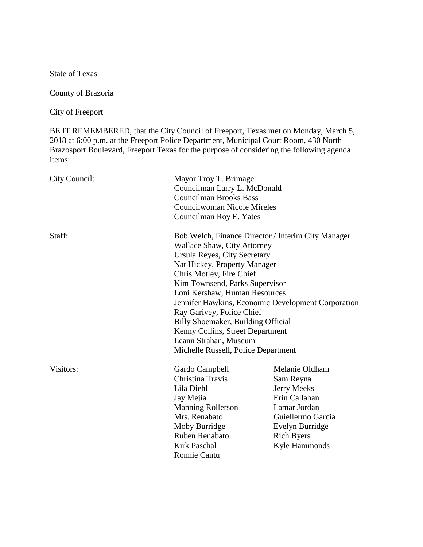State of Texas

County of Brazoria

City of Freeport

BE IT REMEMBERED, that the City Council of Freeport, Texas met on Monday, March 5, 2018 at 6:00 p.m. at the Freeport Police Department, Municipal Court Room, 430 North Brazosport Boulevard, Freeport Texas for the purpose of considering the following agenda items:

| City Council:                                      | Mayor Troy T. Brimage<br>Councilman Larry L. McDonald<br><b>Councilman Brooks Bass</b><br><b>Councilwoman Nicole Mireles</b> |                   |                         |                                                    |
|----------------------------------------------------|------------------------------------------------------------------------------------------------------------------------------|-------------------|-------------------------|----------------------------------------------------|
|                                                    |                                                                                                                              |                   |                         |                                                    |
|                                                    |                                                                                                                              |                   | Councilman Roy E. Yates |                                                    |
|                                                    |                                                                                                                              |                   | Staff:                  | Bob Welch, Finance Director / Interim City Manager |
|                                                    | Wallace Shaw, City Attorney                                                                                                  |                   |                         |                                                    |
| Ursula Reyes, City Secretary                       |                                                                                                                              |                   |                         |                                                    |
| Nat Hickey, Property Manager                       |                                                                                                                              |                   |                         |                                                    |
| Chris Motley, Fire Chief                           |                                                                                                                              |                   |                         |                                                    |
| Kim Townsend, Parks Supervisor                     |                                                                                                                              |                   |                         |                                                    |
| Loni Kershaw, Human Resources                      |                                                                                                                              |                   |                         |                                                    |
| Jennifer Hawkins, Economic Development Corporation |                                                                                                                              |                   |                         |                                                    |
| Ray Garivey, Police Chief                          |                                                                                                                              |                   |                         |                                                    |
| Billy Shoemaker, Building Official                 |                                                                                                                              |                   |                         |                                                    |
| Kenny Collins, Street Department                   |                                                                                                                              |                   |                         |                                                    |
| Leann Strahan, Museum                              |                                                                                                                              |                   |                         |                                                    |
| Michelle Russell, Police Department                |                                                                                                                              |                   |                         |                                                    |
| Visitors:                                          | Gardo Campbell                                                                                                               | Melanie Oldham    |                         |                                                    |
|                                                    | Christina Travis                                                                                                             | Sam Reyna         |                         |                                                    |
|                                                    | Lila Diehl                                                                                                                   | Jerry Meeks       |                         |                                                    |
|                                                    | Jay Mejia                                                                                                                    | Erin Callahan     |                         |                                                    |
|                                                    | <b>Manning Rollerson</b>                                                                                                     | Lamar Jordan      |                         |                                                    |
|                                                    | Mrs. Renabato                                                                                                                | Guiellermo Garcia |                         |                                                    |
|                                                    | Moby Burridge                                                                                                                | Evelyn Burridge   |                         |                                                    |
|                                                    | Ruben Renabato                                                                                                               | <b>Rich Byers</b> |                         |                                                    |
|                                                    | <b>Kirk Paschal</b>                                                                                                          | Kyle Hammonds     |                         |                                                    |
|                                                    | <b>Ronnie Cantu</b>                                                                                                          |                   |                         |                                                    |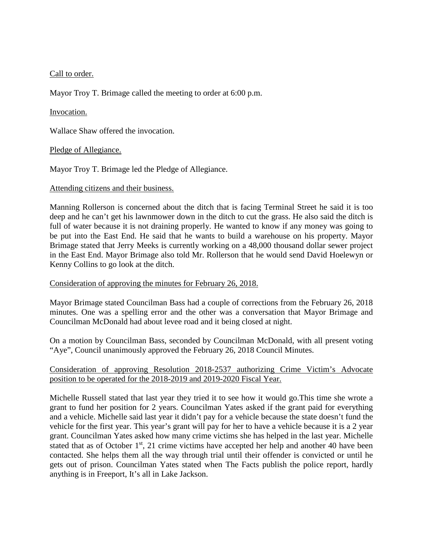# Call to order.

Mayor Troy T. Brimage called the meeting to order at 6:00 p.m.

## Invocation.

Wallace Shaw offered the invocation.

## Pledge of Allegiance.

Mayor Troy T. Brimage led the Pledge of Allegiance.

## Attending citizens and their business.

Manning Rollerson is concerned about the ditch that is facing Terminal Street he said it is too deep and he can't get his lawnmower down in the ditch to cut the grass. He also said the ditch is full of water because it is not draining properly. He wanted to know if any money was going to be put into the East End. He said that he wants to build a warehouse on his property. Mayor Brimage stated that Jerry Meeks is currently working on a 48,000 thousand dollar sewer project in the East End. Mayor Brimage also told Mr. Rollerson that he would send David Hoelewyn or Kenny Collins to go look at the ditch.

## Consideration of approving the minutes for February 26, 2018.

Mayor Brimage stated Councilman Bass had a couple of corrections from the February 26, 2018 minutes. One was a spelling error and the other was a conversation that Mayor Brimage and Councilman McDonald had about levee road and it being closed at night.

On a motion by Councilman Bass, seconded by Councilman McDonald, with all present voting "Aye", Council unanimously approved the February 26, 2018 Council Minutes.

## Consideration of approving Resolution 2018-2537 authorizing Crime Victim's Advocate position to be operated for the 2018-2019 and 2019-2020 Fiscal Year.

Michelle Russell stated that last year they tried it to see how it would go.This time she wrote a grant to fund her position for 2 years. Councilman Yates asked if the grant paid for everything and a vehicle. Michelle said last year it didn't pay for a vehicle because the state doesn't fund the vehicle for the first year. This year's grant will pay for her to have a vehicle because it is a 2 year grant. Councilman Yates asked how many crime victims she has helped in the last year. Michelle stated that as of October  $1<sup>st</sup>$ , 21 crime victims have accepted her help and another 40 have been contacted. She helps them all the way through trial until their offender is convicted or until he gets out of prison. Councilman Yates stated when The Facts publish the police report, hardly anything is in Freeport, It's all in Lake Jackson.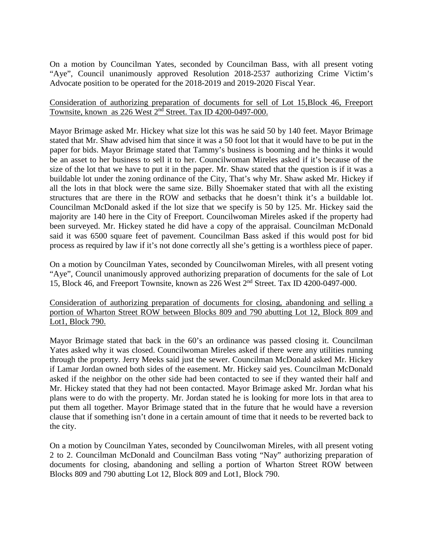On a motion by Councilman Yates, seconded by Councilman Bass, with all present voting "Aye", Council unanimously approved Resolution 2018-2537 authorizing Crime Victim's Advocate position to be operated for the 2018-2019 and 2019-2020 Fiscal Year.

# Consideration of authorizing preparation of documents for sell of Lot 15,Block 46, Freeport Townsite, known as 226 West 2nd Street. Tax ID 4200-0497-000.

Mayor Brimage asked Mr. Hickey what size lot this was he said 50 by 140 feet. Mayor Brimage stated that Mr. Shaw advised him that since it was a 50 foot lot that it would have to be put in the paper for bids. Mayor Brimage stated that Tammy's business is booming and he thinks it would be an asset to her business to sell it to her. Councilwoman Mireles asked if it's because of the size of the lot that we have to put it in the paper. Mr. Shaw stated that the question is if it was a buildable lot under the zoning ordinance of the City, That's why Mr. Shaw asked Mr. Hickey if all the lots in that block were the same size. Billy Shoemaker stated that with all the existing structures that are there in the ROW and setbacks that he doesn't think it's a buildable lot. Councilman McDonald asked if the lot size that we specify is 50 by 125. Mr. Hickey said the majority are 140 here in the City of Freeport. Councilwoman Mireles asked if the property had been surveyed. Mr. Hickey stated he did have a copy of the appraisal. Councilman McDonald said it was 6500 square feet of pavement. Councilman Bass asked if this would post for bid process as required by law if it's not done correctly all she's getting is a worthless piece of paper.

On a motion by Councilman Yates, seconded by Councilwoman Mireles, with all present voting "Aye", Council unanimously approved authorizing preparation of documents for the sale of Lot 15, Block 46, and Freeport Townsite, known as 226 West 2nd Street. Tax ID 4200-0497-000.

Consideration of authorizing preparation of documents for closing, abandoning and selling a portion of Wharton Street ROW between Blocks 809 and 790 abutting Lot 12, Block 809 and Lot1, Block 790.

Mayor Brimage stated that back in the 60's an ordinance was passed closing it. Councilman Yates asked why it was closed. Councilwoman Mireles asked if there were any utilities running through the property. Jerry Meeks said just the sewer. Councilman McDonald asked Mr. Hickey if Lamar Jordan owned both sides of the easement. Mr. Hickey said yes. Councilman McDonald asked if the neighbor on the other side had been contacted to see if they wanted their half and Mr. Hickey stated that they had not been contacted. Mayor Brimage asked Mr. Jordan what his plans were to do with the property. Mr. Jordan stated he is looking for more lots in that area to put them all together. Mayor Brimage stated that in the future that he would have a reversion clause that if something isn't done in a certain amount of time that it needs to be reverted back to the city.

On a motion by Councilman Yates, seconded by Councilwoman Mireles, with all present voting 2 to 2. Councilman McDonald and Councilman Bass voting "Nay" authorizing preparation of documents for closing, abandoning and selling a portion of Wharton Street ROW between Blocks 809 and 790 abutting Lot 12, Block 809 and Lot1, Block 790.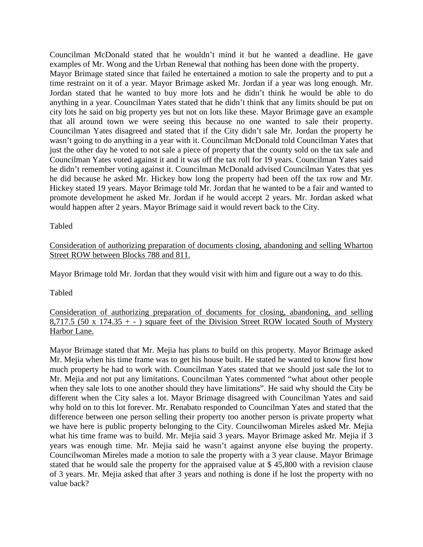Councilman McDonald stated that he wouldn't mind it but he wanted a deadline. He gave examples of Mr. Wong and the Urban Renewal that nothing has been done with the property. Mayor Brimage stated since that failed he entertained a motion to sale the property and to put a time restraint on it of a year. Mayor Brimage asked Mr. Jordan if a year was long enough. Mr. Jordan stated that he wanted to buy more lots and he didn't think he would be able to do anything in a year. Councilman Yates stated that he didn't think that any limits should be put on city lots he said on big property yes but not on lots like these. Mayor Brimage gave an example that all around town we were seeing this because no one wanted to sale their property. Councilman Yates disagreed and stated that if the City didn't sale Mr. Jordan the property he wasn't going to do anything in a year with it. Councilman McDonald told Councilman Yates that just the other day he voted to not sale a piece of property that the county sold on the tax sale and Councilman Yates voted against it and it was off the tax roll for 19 years. Councilman Yates said he didn't remember voting against it. Councilman McDonald advised Councilman Yates that yes he did because he asked Mr. Hickey how long the property had been off the tax row and Mr. Hickey stated 19 years. Mayor Brimage told Mr. Jordan that he wanted to be a fair and wanted to promote development he asked Mr. Jordan if he would accept 2 years. Mr. Jordan asked what would happen after 2 years. Mayor Brimage said it would revert back to the City.

## Tabled

# Consideration of authorizing preparation of documents closing, abandoning and selling Wharton Street ROW between Blocks 788 and 811.

Mayor Brimage told Mr. Jordan that they would visit with him and figure out a way to do this.

Tabled

# Consideration of authorizing preparation of documents for closing, abandoning, and selling 8,717.5 (50 x 174.35 + - ) square feet of the Division Street ROW located South of Mystery Harbor Lane.

Mayor Brimage stated that Mr. Mejia has plans to build on this property. Mayor Brimage asked Mr. Mejia when his time frame was to get his house built. He stated he wanted to know first how much property he had to work with. Councilman Yates stated that we should just sale the lot to Mr. Mejia and not put any limitations. Councilman Yates commented "what about other people when they sale lots to one another should they have limitations". He said why should the City be different when the City sales a lot. Mayor Brimage disagreed with Councilman Yates and said why hold on to this lot forever. Mr. Renabato responded to Councilman Yates and stated that the difference between one person selling their property too another person is private property what we have here is public property belonging to the City. Councilwoman Mireles asked Mr. Mejia what his time frame was to build. Mr. Mejia said 3 years. Mayor Brimage asked Mr. Mejia if 3 years was enough time. Mr. Mejia said he wasn't against anyone else buying the property. Councilwoman Mireles made a motion to sale the property with a 3 year clause. Mayor Brimage stated that he would sale the property for the appraised value at \$ 45,800 with a revision clause of 3 years. Mr. Mejia asked that after 3 years and nothing is done if he lost the property with no value back?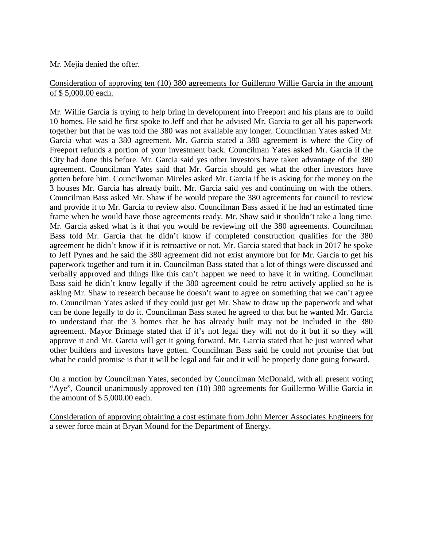Mr. Mejia denied the offer.

# Consideration of approving ten (10) 380 agreements for Guillermo Willie Garcia in the amount of \$ 5,000.00 each.

Mr. Willie Garcia is trying to help bring in development into Freeport and his plans are to build 10 homes. He said he first spoke to Jeff and that he advised Mr. Garcia to get all his paperwork together but that he was told the 380 was not available any longer. Councilman Yates asked Mr. Garcia what was a 380 agreement. Mr. Garcia stated a 380 agreement is where the City of Freeport refunds a portion of your investment back. Councilman Yates asked Mr. Garcia if the City had done this before. Mr. Garcia said yes other investors have taken advantage of the 380 agreement. Councilman Yates said that Mr. Garcia should get what the other investors have gotten before him. Councilwoman Mireles asked Mr. Garcia if he is asking for the money on the 3 houses Mr. Garcia has already built. Mr. Garcia said yes and continuing on with the others. Councilman Bass asked Mr. Shaw if he would prepare the 380 agreements for council to review and provide it to Mr. Garcia to review also. Councilman Bass asked if he had an estimated time frame when he would have those agreements ready. Mr. Shaw said it shouldn't take a long time. Mr. Garcia asked what is it that you would be reviewing off the 380 agreements. Councilman Bass told Mr. Garcia that he didn't know if completed construction qualifies for the 380 agreement he didn't know if it is retroactive or not. Mr. Garcia stated that back in 2017 he spoke to Jeff Pynes and he said the 380 agreement did not exist anymore but for Mr. Garcia to get his paperwork together and turn it in. Councilman Bass stated that a lot of things were discussed and verbally approved and things like this can't happen we need to have it in writing. Councilman Bass said he didn't know legally if the 380 agreement could be retro actively applied so he is asking Mr. Shaw to research because he doesn't want to agree on something that we can't agree to. Councilman Yates asked if they could just get Mr. Shaw to draw up the paperwork and what can be done legally to do it. Councilman Bass stated he agreed to that but he wanted Mr. Garcia to understand that the 3 homes that he has already built may not be included in the 380 agreement. Mayor Brimage stated that if it's not legal they will not do it but if so they will approve it and Mr. Garcia will get it going forward. Mr. Garcia stated that he just wanted what other builders and investors have gotten. Councilman Bass said he could not promise that but what he could promise is that it will be legal and fair and it will be properly done going forward.

On a motion by Councilman Yates, seconded by Councilman McDonald, with all present voting "Aye", Council unanimously approved ten (10) 380 agreements for Guillermo Willie Garcia in the amount of \$ 5,000.00 each.

Consideration of approving obtaining a cost estimate from John Mercer Associates Engineers for a sewer force main at Bryan Mound for the Department of Energy.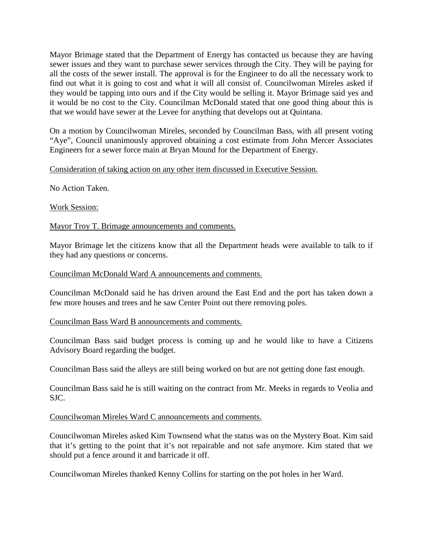Mayor Brimage stated that the Department of Energy has contacted us because they are having sewer issues and they want to purchase sewer services through the City. They will be paying for all the costs of the sewer install. The approval is for the Engineer to do all the necessary work to find out what it is going to cost and what it will all consist of. Councilwoman Mireles asked if they would be tapping into ours and if the City would be selling it. Mayor Brimage said yes and it would be no cost to the City. Councilman McDonald stated that one good thing about this is that we would have sewer at the Levee for anything that develops out at Quintana.

On a motion by Councilwoman Mireles, seconded by Councilman Bass, with all present voting "Aye", Council unanimously approved obtaining a cost estimate from John Mercer Associates Engineers for a sewer force main at Bryan Mound for the Department of Energy.

## Consideration of taking action on any other item discussed in Executive Session.

No Action Taken.

Work Session:

Mayor Troy T. Brimage announcements and comments.

Mayor Brimage let the citizens know that all the Department heads were available to talk to if they had any questions or concerns.

#### Councilman McDonald Ward A announcements and comments.

Councilman McDonald said he has driven around the East End and the port has taken down a few more houses and trees and he saw Center Point out there removing poles.

Councilman Bass Ward B announcements and comments.

Councilman Bass said budget process is coming up and he would like to have a Citizens Advisory Board regarding the budget.

Councilman Bass said the alleys are still being worked on but are not getting done fast enough.

Councilman Bass said he is still waiting on the contract from Mr. Meeks in regards to Veolia and SJC.

## Councilwoman Mireles Ward C announcements and comments.

Councilwoman Mireles asked Kim Townsend what the status was on the Mystery Boat. Kim said that it's getting to the point that it's not repairable and not safe anymore. Kim stated that we should put a fence around it and barricade it off.

Councilwoman Mireles thanked Kenny Collins for starting on the pot holes in her Ward.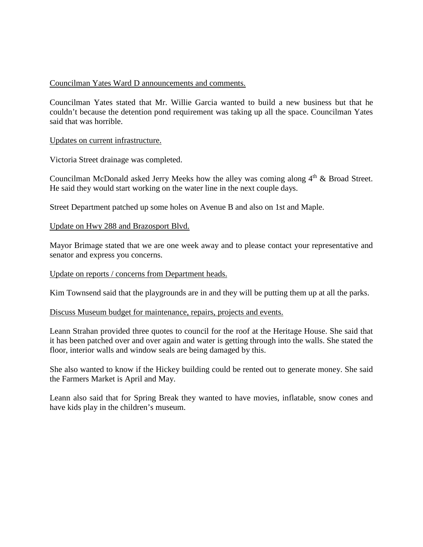## Councilman Yates Ward D announcements and comments.

Councilman Yates stated that Mr. Willie Garcia wanted to build a new business but that he couldn't because the detention pond requirement was taking up all the space. Councilman Yates said that was horrible.

### Updates on current infrastructure.

Victoria Street drainage was completed.

Councilman McDonald asked Jerry Meeks how the alley was coming along  $4<sup>th</sup>$  & Broad Street. He said they would start working on the water line in the next couple days.

Street Department patched up some holes on Avenue B and also on 1st and Maple.

### Update on Hwy 288 and Brazosport Blvd.

Mayor Brimage stated that we are one week away and to please contact your representative and senator and express you concerns.

#### Update on reports / concerns from Department heads.

Kim Townsend said that the playgrounds are in and they will be putting them up at all the parks.

#### Discuss Museum budget for maintenance, repairs, projects and events.

Leann Strahan provided three quotes to council for the roof at the Heritage House. She said that it has been patched over and over again and water is getting through into the walls. She stated the floor, interior walls and window seals are being damaged by this.

She also wanted to know if the Hickey building could be rented out to generate money. She said the Farmers Market is April and May.

Leann also said that for Spring Break they wanted to have movies, inflatable, snow cones and have kids play in the children's museum.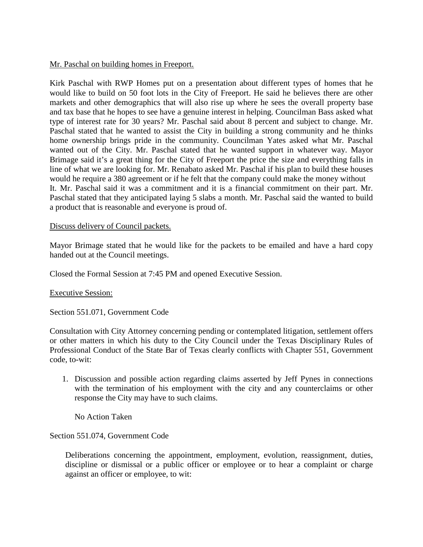## Mr. Paschal on building homes in Freeport.

Kirk Paschal with RWP Homes put on a presentation about different types of homes that he would like to build on 50 foot lots in the City of Freeport. He said he believes there are other markets and other demographics that will also rise up where he sees the overall property base and tax base that he hopes to see have a genuine interest in helping. Councilman Bass asked what type of interest rate for 30 years? Mr. Paschal said about 8 percent and subject to change. Mr. Paschal stated that he wanted to assist the City in building a strong community and he thinks home ownership brings pride in the community. Councilman Yates asked what Mr. Paschal wanted out of the City. Mr. Paschal stated that he wanted support in whatever way. Mayor Brimage said it's a great thing for the City of Freeport the price the size and everything falls in line of what we are looking for. Mr. Renabato asked Mr. Paschal if his plan to build these houses would he require a 380 agreement or if he felt that the company could make the money without It. Mr. Paschal said it was a commitment and it is a financial commitment on their part. Mr. Paschal stated that they anticipated laying 5 slabs a month. Mr. Paschal said the wanted to build a product that is reasonable and everyone is proud of.

### Discuss delivery of Council packets.

Mayor Brimage stated that he would like for the packets to be emailed and have a hard copy handed out at the Council meetings.

Closed the Formal Session at 7:45 PM and opened Executive Session.

#### Executive Session:

Section 551.071, Government Code

Consultation with City Attorney concerning pending or contemplated litigation, settlement offers or other matters in which his duty to the City Council under the Texas Disciplinary Rules of Professional Conduct of the State Bar of Texas clearly conflicts with Chapter 551, Government code, to-wit:

1. Discussion and possible action regarding claims asserted by Jeff Pynes in connections with the termination of his employment with the city and any counterclaims or other response the City may have to such claims.

No Action Taken

## Section 551.074, Government Code

Deliberations concerning the appointment, employment, evolution, reassignment, duties, discipline or dismissal or a public officer or employee or to hear a complaint or charge against an officer or employee, to wit: